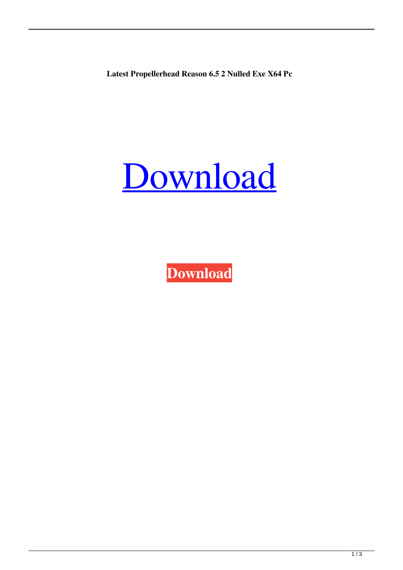**Latest Propellerhead Reason 6.5 2 Nulled Exe X64 Pc**

## [Download](http://evacdir.com/cHJvcGVsbGVyaGVhZCByZWFzb24gNi41IDIgY3JhY2scHJ?ZG93bmxvYWR8aks5TVdkM1pueDhNVFkxTWpjME1EZzJObng4TWpVM05IeDhLRTBwSUhKbFlXUXRZbXh2WnlCYlJtRnpkQ0JIUlU1ZA=/freecycle/moorlands/oaks&recentely=handsomest&)

**[Download](http://evacdir.com/cHJvcGVsbGVyaGVhZCByZWFzb24gNi41IDIgY3JhY2scHJ?ZG93bmxvYWR8aks5TVdkM1pueDhNVFkxTWpjME1EZzJObng4TWpVM05IeDhLRTBwSUhKbFlXUXRZbXh2WnlCYlJtRnpkQ0JIUlU1ZA=/freecycle/moorlands/oaks&recentely=handsomest&)**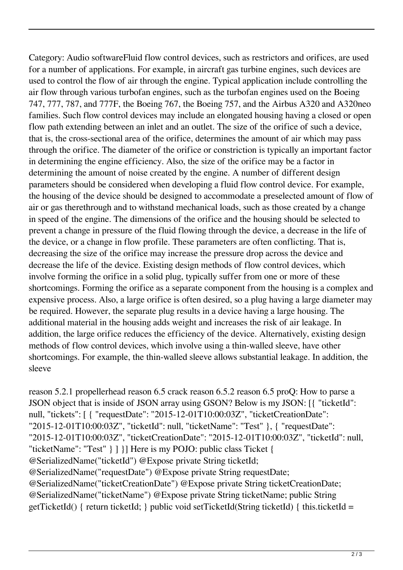Category: Audio softwareFluid flow control devices, such as restrictors and orifices, are used for a number of applications. For example, in aircraft gas turbine engines, such devices are used to control the flow of air through the engine. Typical application include controlling the air flow through various turbofan engines, such as the turbofan engines used on the Boeing 747, 777, 787, and 777F, the Boeing 767, the Boeing 757, and the Airbus A320 and A320neo families. Such flow control devices may include an elongated housing having a closed or open flow path extending between an inlet and an outlet. The size of the orifice of such a device, that is, the cross-sectional area of the orifice, determines the amount of air which may pass through the orifice. The diameter of the orifice or constriction is typically an important factor in determining the engine efficiency. Also, the size of the orifice may be a factor in determining the amount of noise created by the engine. A number of different design parameters should be considered when developing a fluid flow control device. For example, the housing of the device should be designed to accommodate a preselected amount of flow of air or gas therethrough and to withstand mechanical loads, such as those created by a change in speed of the engine. The dimensions of the orifice and the housing should be selected to prevent a change in pressure of the fluid flowing through the device, a decrease in the life of the device, or a change in flow profile. These parameters are often conflicting. That is, decreasing the size of the orifice may increase the pressure drop across the device and decrease the life of the device. Existing design methods of flow control devices, which involve forming the orifice in a solid plug, typically suffer from one or more of these shortcomings. Forming the orifice as a separate component from the housing is a complex and expensive process. Also, a large orifice is often desired, so a plug having a large diameter may be required. However, the separate plug results in a device having a large housing. The additional material in the housing adds weight and increases the risk of air leakage. In addition, the large orifice reduces the efficiency of the device. Alternatively, existing design methods of flow control devices, which involve using a thin-walled sleeve, have other shortcomings. For example, the thin-walled sleeve allows substantial leakage. In addition, the sleeve

reason 5.2.1 propellerhead reason 6.5 crack reason 6.5.2 reason 6.5 proQ: How to parse a JSON object that is inside of JSON array using GSON? Below is my JSON: [{ "ticketId": null, "tickets": [ { "requestDate": "2015-12-01T10:00:03Z", "ticketCreationDate": "2015-12-01T10:00:03Z", "ticketId": null, "ticketName": "Test" }, { "requestDate": "2015-12-01T10:00:03Z", "ticketCreationDate": "2015-12-01T10:00:03Z", "ticketId": null, "ticketName": "Test" } ] }] Here is my POJO: public class Ticket { @SerializedName("ticketId") @Expose private String ticketId; @SerializedName("requestDate") @Expose private String requestDate; @SerializedName("ticketCreationDate") @Expose private String ticketCreationDate; @SerializedName("ticketName") @Expose private String ticketName; public String getTicketId() { return ticketId; } public void setTicketId(String ticketId) { this.ticketId =